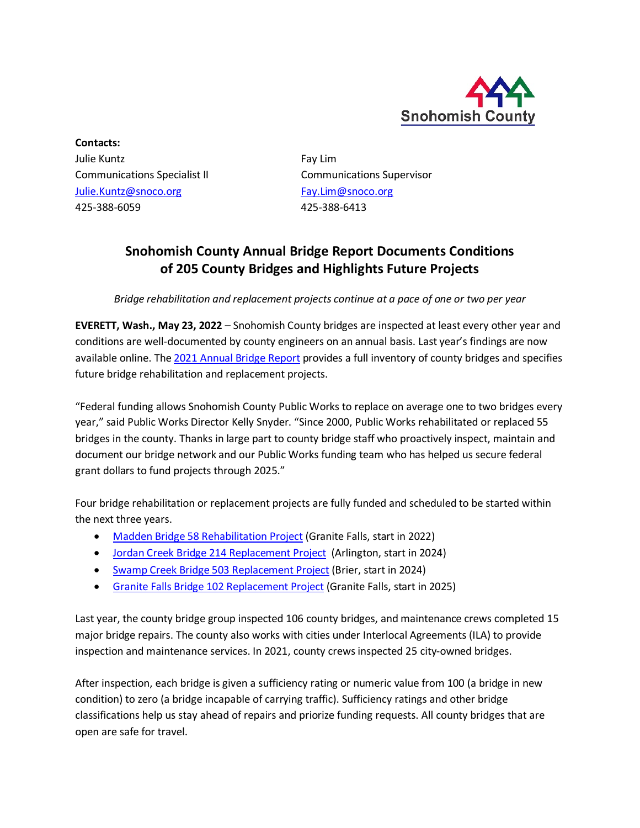

**Contacts:** Julie Kuntz **Fay Lim** Communications Specialist II Communications Supervisor [Julie.Kuntz@snoco.org](mailto:Julie.Kuntz@snoco.org) [Fay.Lim@snoco.org](mailto:Fay.Lim@snoco.org) 425-388-6059 425-388-6413

## **Snohomish County Annual Bridge Report Documents Conditions of 205 County Bridges and Highlights Future Projects**

*Bridge rehabilitation and replacement projects continue at a pace of one or two per year*

**EVERETT, Wash., May 23, 2022** – Snohomish County bridges are inspected at least every other year and conditions are well-documented by county engineers on an annual basis. Last year's findings are now available online. Th[e 2021 Annual Bridge Report](https://www.snohomishcountywa.gov/DocumentCenter/View/99596) provides a full inventory of county bridges and specifies future bridge rehabilitation and replacement projects.

"Federal funding allows Snohomish County Public Works to replace on average one to two bridges every year," said Public Works Director Kelly Snyder. "Since 2000, Public Works rehabilitated or replaced 55 bridges in the county. Thanks in large part to county bridge staff who proactively inspect, maintain and document our bridge network and our Public Works funding team who has helped us secure federal grant dollars to fund projects through 2025."

Four bridge rehabilitation or replacement projects are fully funded and scheduled to be started within the next three years.

- [Madden Bridge 58 Rehabilitation Project](https://snohomishcountywa.gov/5759) (Granite Falls, start in 2022)
- [Jordan Creek Bridge 214 Replacement Project](https://snohomishcountywa.gov/4117) (Arlington, start in 2024)
- [Swamp Creek Bridge 503 Replacement Project](https://snohomishcountywa.gov/4116) (Brier, start in 2024)
- [Granite Falls Bridge 102 Replacement Project](https://snohomishcountywa.gov/608) (Granite Falls, start in 2025)

Last year, the county bridge group inspected 106 county bridges, and maintenance crews completed 15 major bridge repairs. The county also works with cities under Interlocal Agreements (ILA) to provide inspection and maintenance services. In 2021, county crews inspected 25 city-owned bridges.

After inspection, each bridge is given a sufficiency rating or numeric value from 100 (a bridge in new condition) to zero (a bridge incapable of carrying traffic). Sufficiency ratings and other bridge classifications help us stay ahead of repairs and priorize funding requests. All county bridges that are open are safe for travel.